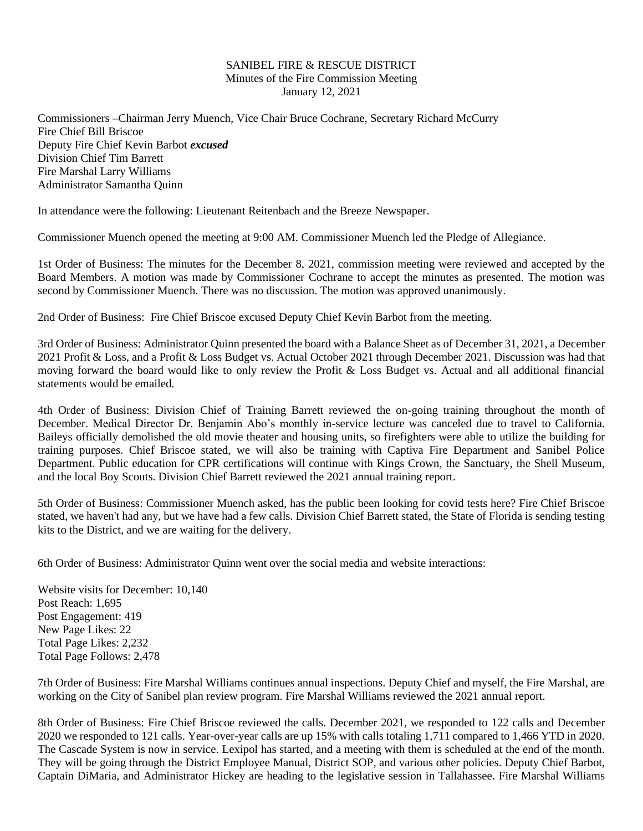## SANIBEL FIRE & RESCUE DISTRICT Minutes of the Fire Commission Meeting January 12, 2021

Commissioners –Chairman Jerry Muench, Vice Chair Bruce Cochrane, Secretary Richard McCurry Fire Chief Bill Briscoe Deputy Fire Chief Kevin Barbot *excused* Division Chief Tim Barrett Fire Marshal Larry Williams Administrator Samantha Quinn

In attendance were the following: Lieutenant Reitenbach and the Breeze Newspaper.

Commissioner Muench opened the meeting at 9:00 AM. Commissioner Muench led the Pledge of Allegiance.

1st Order of Business: The minutes for the December 8, 2021, commission meeting were reviewed and accepted by the Board Members. A motion was made by Commissioner Cochrane to accept the minutes as presented. The motion was second by Commissioner Muench. There was no discussion. The motion was approved unanimously.

2nd Order of Business: Fire Chief Briscoe excused Deputy Chief Kevin Barbot from the meeting.

3rd Order of Business: Administrator Quinn presented the board with a Balance Sheet as of December 31, 2021, a December 2021 Profit & Loss, and a Profit & Loss Budget vs. Actual October 2021 through December 2021. Discussion was had that moving forward the board would like to only review the Profit & Loss Budget vs. Actual and all additional financial statements would be emailed.

4th Order of Business: Division Chief of Training Barrett reviewed the on-going training throughout the month of December. Medical Director Dr. Benjamin Abo's monthly in-service lecture was canceled due to travel to California. Baileys officially demolished the old movie theater and housing units, so firefighters were able to utilize the building for training purposes. Chief Briscoe stated, we will also be training with Captiva Fire Department and Sanibel Police Department. Public education for CPR certifications will continue with Kings Crown, the Sanctuary, the Shell Museum, and the local Boy Scouts. Division Chief Barrett reviewed the 2021 annual training report.

5th Order of Business: Commissioner Muench asked, has the public been looking for covid tests here? Fire Chief Briscoe stated, we haven't had any, but we have had a few calls. Division Chief Barrett stated, the State of Florida is sending testing kits to the District, and we are waiting for the delivery.

6th Order of Business: Administrator Quinn went over the social media and website interactions:

Website visits for December: 10,140 Post Reach: 1,695 Post Engagement: 419 New Page Likes: 22 Total Page Likes: 2,232 Total Page Follows: 2,478

7th Order of Business: Fire Marshal Williams continues annual inspections. Deputy Chief and myself, the Fire Marshal, are working on the City of Sanibel plan review program. Fire Marshal Williams reviewed the 2021 annual report.

8th Order of Business: Fire Chief Briscoe reviewed the calls. December 2021, we responded to 122 calls and December 2020 we responded to 121 calls. Year-over-year calls are up 15% with calls totaling 1,711 compared to 1,466 YTD in 2020. The Cascade System is now in service. Lexipol has started, and a meeting with them is scheduled at the end of the month. They will be going through the District Employee Manual, District SOP, and various other policies. Deputy Chief Barbot, Captain DiMaria, and Administrator Hickey are heading to the legislative session in Tallahassee. Fire Marshal Williams